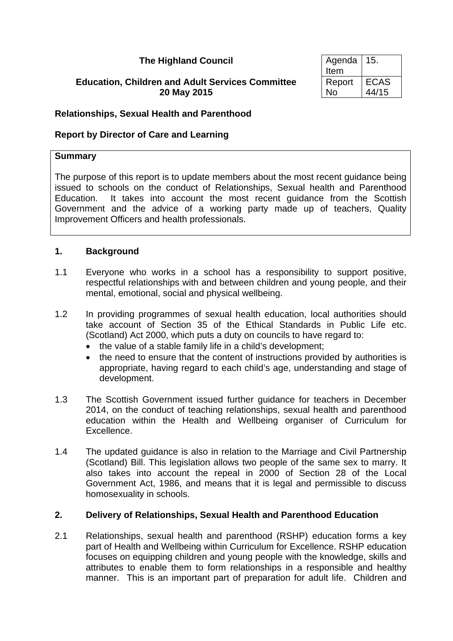# **The Highland Council**

## **Education, Children and Adult Services Committee 20 May 2015**

| Agenda | 15.         |
|--------|-------------|
| Item   |             |
| Report | <b>ECAS</b> |
| N٥     | 44/15       |

## **Relationships, Sexual Health and Parenthood**

## **Report by Director of Care and Learning**

### **Summary**

The purpose of this report is to update members about the most recent guidance being issued to schools on the conduct of Relationships, Sexual health and Parenthood Education. It takes into account the most recent guidance from the Scottish Government and the advice of a working party made up of teachers, Quality Improvement Officers and health professionals.

## **1. Background**

- 1.1 Everyone who works in a school has a responsibility to support positive, respectful relationships with and between children and young people, and their mental, emotional, social and physical wellbeing.
- 1.2 In providing programmes of sexual health education, local authorities should take account of Section 35 of the Ethical Standards in Public Life etc. (Scotland) Act 2000, which puts a duty on councils to have regard to:
	- the value of a stable family life in a child's development;
	- the need to ensure that the content of instructions provided by authorities is appropriate, having regard to each child's age, understanding and stage of development.
- 1.3 The Scottish Government issued further guidance for teachers in December 2014, on the conduct of teaching relationships, sexual health and parenthood education within the Health and Wellbeing organiser of Curriculum for Excellence.
- 1.4 The updated guidance is also in relation to the Marriage and Civil Partnership (Scotland) Bill. This legislation allows two people of the same sex to marry. It also takes into account the repeal in 2000 of Section 28 of the Local Government Act, 1986, and means that it is legal and permissible to discuss homosexuality in schools.

### **2. Delivery of Relationships, Sexual Health and Parenthood Education**

2.1 Relationships, sexual health and parenthood (RSHP) education forms a key part of Health and Wellbeing within Curriculum for Excellence. RSHP education focuses on equipping children and young people with the knowledge, skills and attributes to enable them to form relationships in a responsible and healthy manner. This is an important part of preparation for adult life. Children and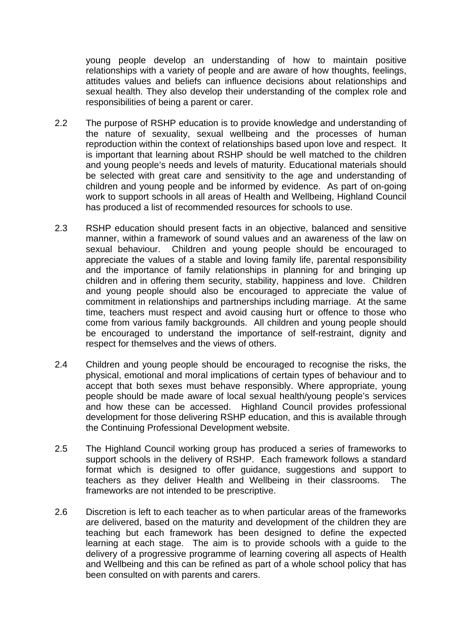young people develop an understanding of how to maintain positive relationships with a variety of people and are aware of how thoughts, feelings, attitudes values and beliefs can influence decisions about relationships and sexual health. They also develop their understanding of the complex role and responsibilities of being a parent or carer.

- 2.2 The purpose of RSHP education is to provide knowledge and understanding of the nature of sexuality, sexual wellbeing and the processes of human reproduction within the context of relationships based upon love and respect. It is important that learning about RSHP should be well matched to the children and young people's needs and levels of maturity. Educational materials should be selected with great care and sensitivity to the age and understanding of children and young people and be informed by evidence. As part of on-going work to support schools in all areas of Health and Wellbeing, Highland Council has produced a list of recommended resources for schools to use.
- 2.3 RSHP education should present facts in an objective, balanced and sensitive manner, within a framework of sound values and an awareness of the law on sexual behaviour. Children and young people should be encouraged to appreciate the values of a stable and loving family life, parental responsibility and the importance of family relationships in planning for and bringing up children and in offering them security, stability, happiness and love. Children and young people should also be encouraged to appreciate the value of commitment in relationships and partnerships including marriage. At the same time, teachers must respect and avoid causing hurt or offence to those who come from various family backgrounds. All children and young people should be encouraged to understand the importance of self-restraint, dignity and respect for themselves and the views of others.
- 2.4 Children and young people should be encouraged to recognise the risks, the physical, emotional and moral implications of certain types of behaviour and to accept that both sexes must behave responsibly. Where appropriate, young people should be made aware of local sexual health/young people's services and how these can be accessed. Highland Council provides professional development for those delivering RSHP education, and this is available through the Continuing Professional Development website.
- 2.5 The Highland Council working group has produced a series of frameworks to support schools in the delivery of RSHP. Each framework follows a standard format which is designed to offer guidance, suggestions and support to teachers as they deliver Health and Wellbeing in their classrooms. The frameworks are not intended to be prescriptive.
- 2.6 Discretion is left to each teacher as to when particular areas of the frameworks are delivered, based on the maturity and development of the children they are teaching but each framework has been designed to define the expected learning at each stage. The aim is to provide schools with a guide to the delivery of a progressive programme of learning covering all aspects of Health and Wellbeing and this can be refined as part of a whole school policy that has been consulted on with parents and carers.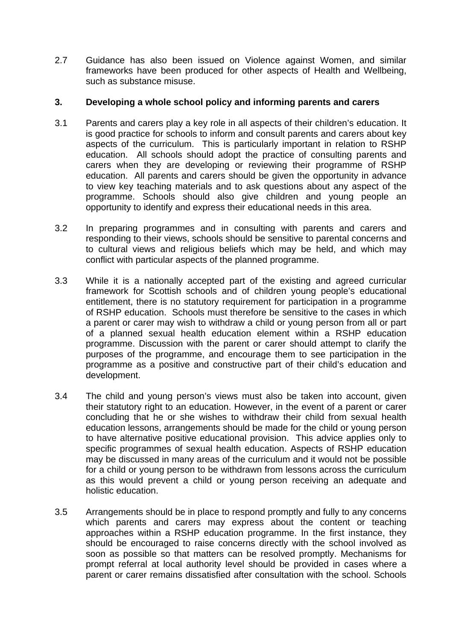2.7 Guidance has also been issued on Violence against Women, and similar frameworks have been produced for other aspects of Health and Wellbeing, such as substance misuse.

# **3. Developing a whole school policy and informing parents and carers**

- 3.1 Parents and carers play a key role in all aspects of their children's education. It is good practice for schools to inform and consult parents and carers about key aspects of the curriculum. This is particularly important in relation to RSHP education. All schools should adopt the practice of consulting parents and carers when they are developing or reviewing their programme of RSHP education. All parents and carers should be given the opportunity in advance to view key teaching materials and to ask questions about any aspect of the programme. Schools should also give children and young people an opportunity to identify and express their educational needs in this area.
- 3.2 In preparing programmes and in consulting with parents and carers and responding to their views, schools should be sensitive to parental concerns and to cultural views and religious beliefs which may be held, and which may conflict with particular aspects of the planned programme.
- 3.3 While it is a nationally accepted part of the existing and agreed curricular framework for Scottish schools and of children young people's educational entitlement, there is no statutory requirement for participation in a programme of RSHP education. Schools must therefore be sensitive to the cases in which a parent or carer may wish to withdraw a child or young person from all or part of a planned sexual health education element within a RSHP education programme. Discussion with the parent or carer should attempt to clarify the purposes of the programme, and encourage them to see participation in the programme as a positive and constructive part of their child's education and development.
- 3.4 The child and young person's views must also be taken into account, given their statutory right to an education. However, in the event of a parent or carer concluding that he or she wishes to withdraw their child from sexual health education lessons, arrangements should be made for the child or young person to have alternative positive educational provision. This advice applies only to specific programmes of sexual health education. Aspects of RSHP education may be discussed in many areas of the curriculum and it would not be possible for a child or young person to be withdrawn from lessons across the curriculum as this would prevent a child or young person receiving an adequate and holistic education.
- 3.5 Arrangements should be in place to respond promptly and fully to any concerns which parents and carers may express about the content or teaching approaches within a RSHP education programme. In the first instance, they should be encouraged to raise concerns directly with the school involved as soon as possible so that matters can be resolved promptly. Mechanisms for prompt referral at local authority level should be provided in cases where a parent or carer remains dissatisfied after consultation with the school. Schools